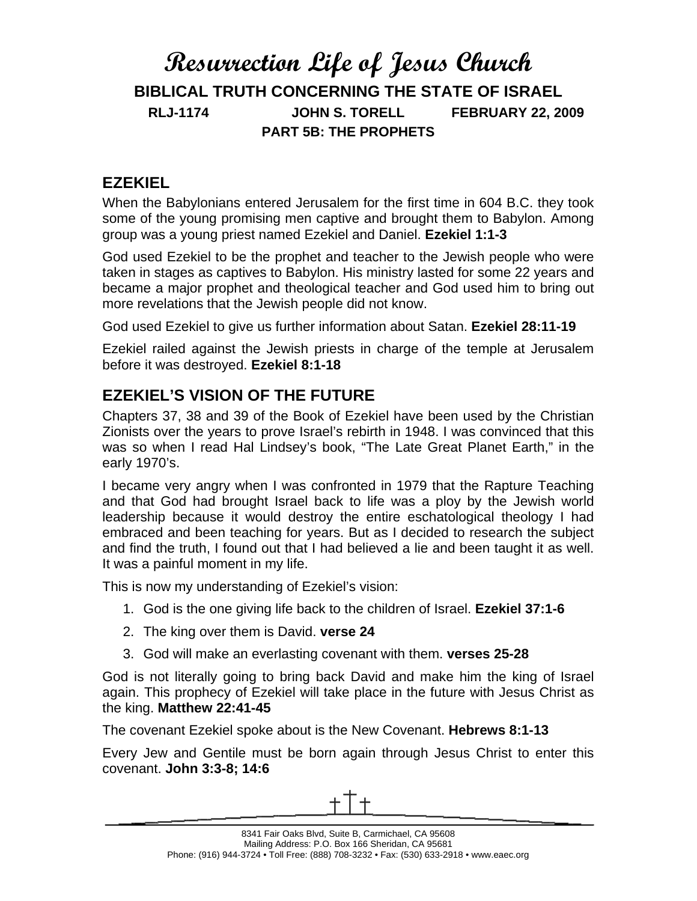## **Resurrection Life of Jesus Church BIBLICAL TRUTH CONCERNING THE STATE OF ISRAEL RLJ-1174 JOHN S. TORELL FEBRUARY 22, 2009 PART 5B: THE PROPHETS**

#### **EZEKIEL**

When the Babylonians entered Jerusalem for the first time in 604 B.C. they took some of the young promising men captive and brought them to Babylon. Among group was a young priest named Ezekiel and Daniel. **Ezekiel 1:1-3**

God used Ezekiel to be the prophet and teacher to the Jewish people who were taken in stages as captives to Babylon. His ministry lasted for some 22 years and became a major prophet and theological teacher and God used him to bring out more revelations that the Jewish people did not know.

God used Ezekiel to give us further information about Satan. **Ezekiel 28:11-19**

Ezekiel railed against the Jewish priests in charge of the temple at Jerusalem before it was destroyed. **Ezekiel 8:1-18**

### **EZEKIEL'S VISION OF THE FUTURE**

Chapters 37, 38 and 39 of the Book of Ezekiel have been used by the Christian Zionists over the years to prove Israel's rebirth in 1948. I was convinced that this was so when I read Hal Lindsey's book, "The Late Great Planet Earth," in the early 1970's.

I became very angry when I was confronted in 1979 that the Rapture Teaching and that God had brought Israel back to life was a ploy by the Jewish world leadership because it would destroy the entire eschatological theology I had embraced and been teaching for years. But as I decided to research the subject and find the truth, I found out that I had believed a lie and been taught it as well. It was a painful moment in my life.

This is now my understanding of Ezekiel's vision:

- 1. God is the one giving life back to the children of Israel. **Ezekiel 37:1-6**
- 2. The king over them is David. **verse 24**
- 3. God will make an everlasting covenant with them. **verses 25-28**

God is not literally going to bring back David and make him the king of Israel again. This prophecy of Ezekiel will take place in the future with Jesus Christ as the king. **Matthew 22:41-45**

The covenant Ezekiel spoke about is the New Covenant. **Hebrews 8:1-13**

Every Jew and Gentile must be born again through Jesus Christ to enter this covenant. **John 3:3-8; 14:6**

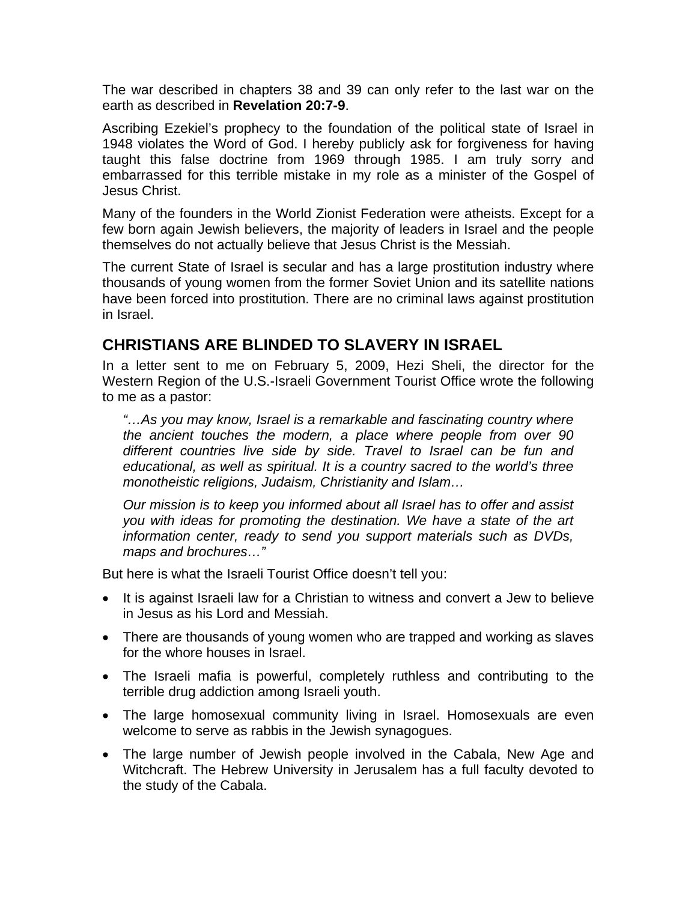The war described in chapters 38 and 39 can only refer to the last war on the earth as described in **Revelation 20:7-9**.

Ascribing Ezekiel's prophecy to the foundation of the political state of Israel in 1948 violates the Word of God. I hereby publicly ask for forgiveness for having taught this false doctrine from 1969 through 1985. I am truly sorry and embarrassed for this terrible mistake in my role as a minister of the Gospel of Jesus Christ.

Many of the founders in the World Zionist Federation were atheists. Except for a few born again Jewish believers, the majority of leaders in Israel and the people themselves do not actually believe that Jesus Christ is the Messiah.

The current State of Israel is secular and has a large prostitution industry where thousands of young women from the former Soviet Union and its satellite nations have been forced into prostitution. There are no criminal laws against prostitution in Israel.

#### **CHRISTIANS ARE BLINDED TO SLAVERY IN ISRAEL**

In a letter sent to me on February 5, 2009, Hezi Sheli, the director for the Western Region of the U.S.-Israeli Government Tourist Office wrote the following to me as a pastor:

*"…As you may know, Israel is a remarkable and fascinating country where the ancient touches the modern, a place where people from over 90 different countries live side by side. Travel to Israel can be fun and educational, as well as spiritual. It is a country sacred to the world's three monotheistic religions, Judaism, Christianity and Islam…* 

*Our mission is to keep you informed about all Israel has to offer and assist you with ideas for promoting the destination. We have a state of the art information center, ready to send you support materials such as DVDs, maps and brochures…"* 

But here is what the Israeli Tourist Office doesn't tell you:

- It is against Israeli law for a Christian to witness and convert a Jew to believe in Jesus as his Lord and Messiah.
- There are thousands of young women who are trapped and working as slaves for the whore houses in Israel.
- The Israeli mafia is powerful, completely ruthless and contributing to the terrible drug addiction among Israeli youth.
- The large homosexual community living in Israel. Homosexuals are even welcome to serve as rabbis in the Jewish synagogues.
- The large number of Jewish people involved in the Cabala, New Age and Witchcraft. The Hebrew University in Jerusalem has a full faculty devoted to the study of the Cabala.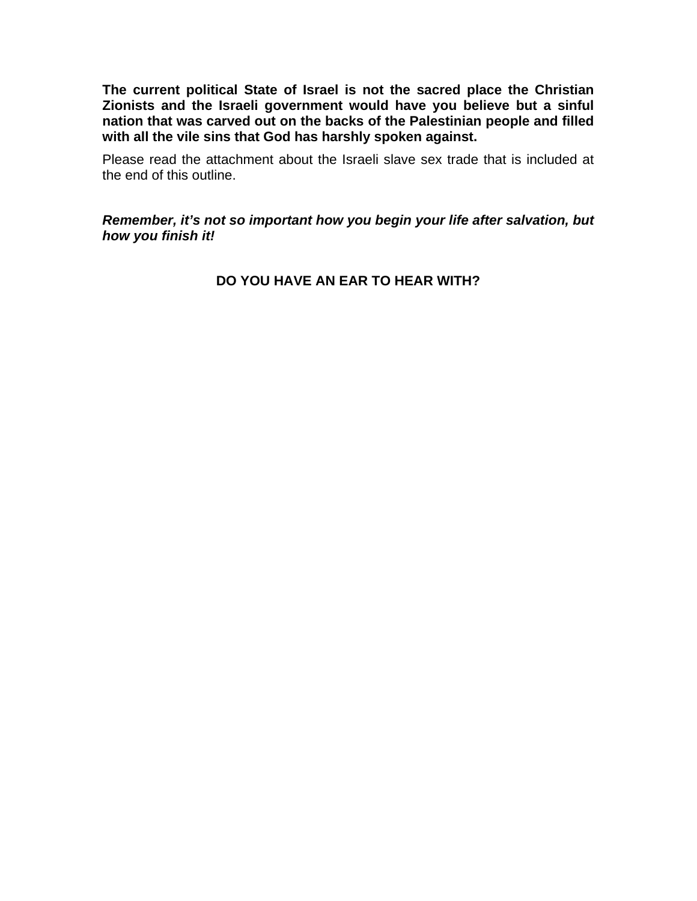**The current political State of Israel is not the sacred place the Christian Zionists and the Israeli government would have you believe but a sinful nation that was carved out on the backs of the Palestinian people and filled with all the vile sins that God has harshly spoken against.** 

Please read the attachment about the Israeli slave sex trade that is included at the end of this outline.

*Remember, it's not so important how you begin your life after salvation, but how you finish it!*

**DO YOU HAVE AN EAR TO HEAR WITH?**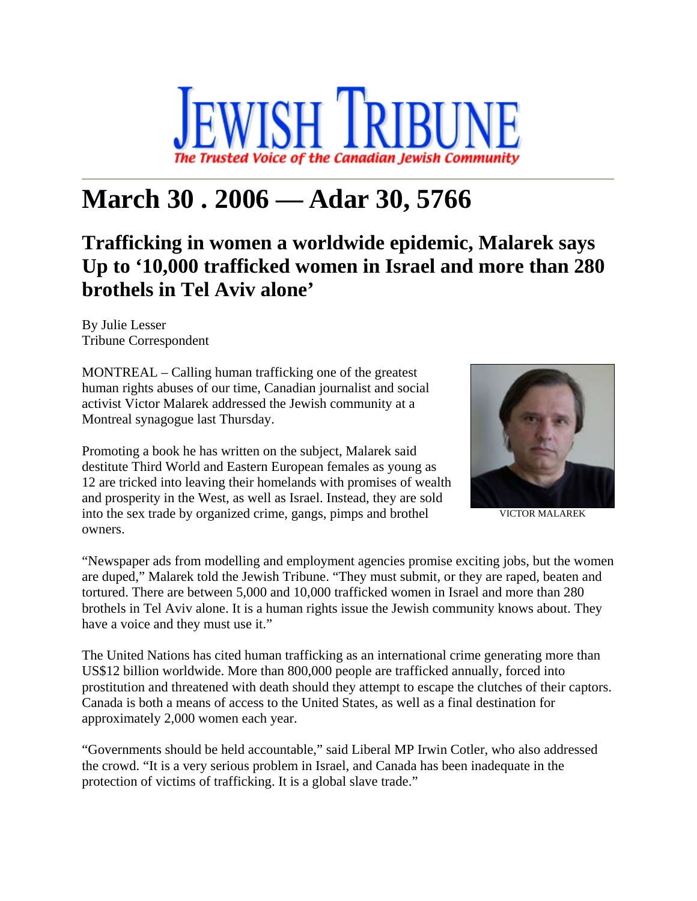

# **March 30 . 2006 — Adar 30, 5766**

## **Trafficking in women a worldwide epidemic, Malarek says Up to '10,000 trafficked women in Israel and more than 280 brothels in Tel Aviv alone'**

By Julie Lesser Tribune Correspondent

MONTREAL – Calling human trafficking one of the greatest human rights abuses of our time, Canadian journalist and social activist Victor Malarek addressed the Jewish community at a Montreal synagogue last Thursday.

Promoting a book he has written on the subject, Malarek said destitute Third World and Eastern European females as young as 12 are tricked into leaving their homelands with promises of wealth and prosperity in the West, as well as Israel. Instead, they are sold into the sex trade by organized crime, gangs, pimps and brothel owners.



VICTOR MALAREK

"Newspaper ads from modelling and employment agencies promise exciting jobs, but the women are duped," Malarek told the Jewish Tribune. "They must submit, or they are raped, beaten and tortured. There are between 5,000 and 10,000 trafficked women in Israel and more than 280 brothels in Tel Aviv alone. It is a human rights issue the Jewish community knows about. They have a voice and they must use it."

The United Nations has cited human trafficking as an international crime generating more than US\$12 billion worldwide. More than 800,000 people are trafficked annually, forced into prostitution and threatened with death should they attempt to escape the clutches of their captors. Canada is both a means of access to the United States, as well as a final destination for approximately 2,000 women each year.

"Governments should be held accountable," said Liberal MP Irwin Cotler, who also addressed the crowd. "It is a very serious problem in Israel, and Canada has been inadequate in the protection of victims of trafficking. It is a global slave trade."